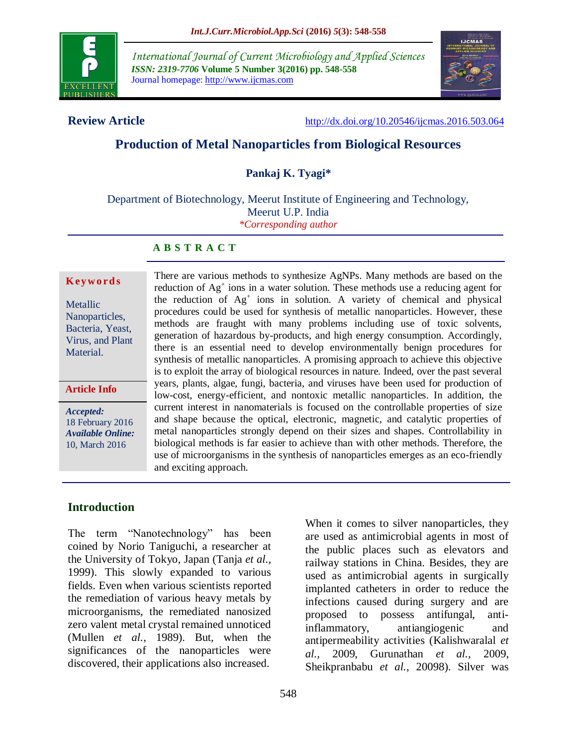

*International Journal of Current Microbiology and Applied Sciences ISSN: 2319-7706* **Volume 5 Number 3(2016) pp. 548-558** Journal homepage: http://www.ijcmas.com



**Review Article** <http://dx.doi.org/10.20546/ijcmas.2016.503.064>

# **Production of Metal Nanoparticles from Biological Resources**

**Pankaj K. Tyagi\***

Department of Biotechnology, Meerut Institute of Engineering and Technology, Meerut U.P. India *\*Corresponding author*

#### **A B S T R A C T**

#### **K ey w o rd s**

Metallic Nanoparticles, Bacteria, Yeast, Virus, and Plant Material.

#### **Article Info**

*Accepted:*  18 February 2016 *Available Online:* 10, March 2016

There are various methods to synthesize AgNPs. Many methods are based on the reduction of Ag<sup>+</sup> ions in a water solution. These methods use a reducing agent for the reduction of Ag<sup>+</sup> ions in solution. A variety of chemical and physical procedures could be used for synthesis of metallic nanoparticles. However, these methods are fraught with many problems including use of toxic solvents, generation of hazardous by-products, and high energy consumption. Accordingly, there is an essential need to develop environmentally benign procedures for synthesis of metallic nanoparticles. A promising approach to achieve this objective is to exploit the array of biological resources in nature. Indeed, over the past several years, plants, algae, fungi, bacteria, and viruses have been used for production of low-cost, energy-efficient, and nontoxic metallic nanoparticles. In addition, the current interest in nanomaterials is focused on the controllable properties of size and shape because the optical, electronic, magnetic, and catalytic properties of metal nanoparticles strongly depend on their sizes and shapes. Controllability in biological methods is far easier to achieve than with other methods. Therefore, the use of microorganisms in the synthesis of nanoparticles emerges as an eco-friendly and exciting approach.

#### **Introduction**

The term "Nanotechnology" has been coined by Norio Taniguchi, a researcher at the University of Tokyo, Japan (Tanja *et al.,* 1999). This slowly expanded to various fields. Even when various scientists reported the remediation of various heavy metals by microorganisms, the remediated nanosized zero valent metal crystal remained unnoticed (Mullen *et al.,* 1989). But, when the significances of the nanoparticles were discovered, their applications also increased.

When it comes to silver nanoparticles, they are used as antimicrobial agents in most of the public places such as elevators and railway stations in China. Besides, they are used as antimicrobial agents in surgically implanted catheters in order to reduce the infections caused during surgery and are proposed to possess antifungal, antiinflammatory, antiangiogenic and antipermeability activities (Kalishwaralal *et al.,* 2009, Gurunathan *et al.,* 2009, Sheikpranbabu *et al.,* 20098). Silver was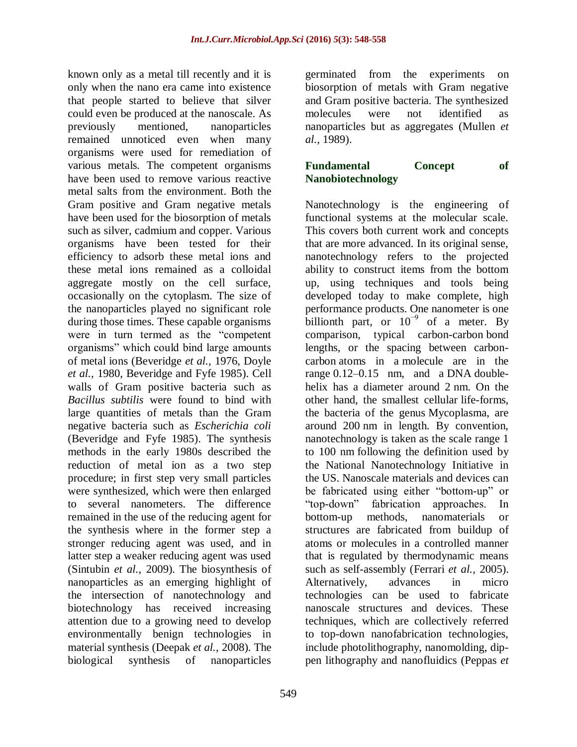known only as a metal till recently and it is only when the nano era came into existence that people started to believe that silver could even be produced at the nanoscale. As previously mentioned, nanoparticles remained unnoticed even when many organisms were used for remediation of various metals. The competent organisms have been used to remove various reactive metal salts from the environment. Both the Gram positive and Gram negative metals have been used for the biosorption of metals such as silver, cadmium and copper. Various organisms have been tested for their efficiency to adsorb these metal ions and these metal ions remained as a colloidal aggregate mostly on the cell surface, occasionally on the cytoplasm. The size of the nanoparticles played no significant role during those times. These capable organisms were in turn termed as the "competent organisms" which could bind large amounts of metal ions (Beveridge *et al.,* 1976, Doyle *et al.,* 1980, Beveridge and Fyfe 1985). Cell walls of Gram positive bacteria such as *Bacillus subtilis* were found to bind with large quantities of metals than the Gram negative bacteria such as *Escherichia coli* (Beveridge and Fyfe 1985). The synthesis methods in the early 1980s described the reduction of metal ion as a two step procedure; in first step very small particles were synthesized, which were then enlarged to several nanometers. The difference remained in the use of the reducing agent for the synthesis where in the former step a stronger reducing agent was used, and in latter step a weaker reducing agent was used (Sintubin *et al.,* 2009). The biosynthesis of nanoparticles as an emerging highlight of the intersection of nanotechnology and biotechnology has received increasing attention due to a growing need to develop environmentally benign technologies in material synthesis (Deepak *et al.,* 2008). The biological synthesis of nanoparticles

germinated from the experiments on biosorption of metals with Gram negative and Gram positive bacteria. The synthesized molecules were not identified as nanoparticles but as aggregates (Mullen *et al.,* 1989).

## **Fundamental Concept of Nanobiotechnology**

Nanotechnology is the engineering of functional systems at the molecular scale. This covers both current work and concepts that are more advanced. In its original sense, nanotechnology refers to the projected ability to construct items from the bottom up, using techniques and tools being developed today to make complete, high performance products. One [nanometer](https://en.wikipedia.org/wiki/Nanometer) is one billionth part, or  $10^{-9}$  of a meter. By comparison, typical carbon-carbon bond lengths, or the spacing between carboncarbon atoms in a molecule are in the range 0.12–0.15 nm, and a DNA doublehelix has a diameter around 2 nm. On the other hand, the smallest [cellular](https://en.wikipedia.org/wiki/Cell_(biology)) life-forms, the bacteria of the genus Mycoplasma, are around 200 nm in length. By convention, nanotechnology is taken as the scale range 1 to 100 nm following the definition used by the National Nanotechnology Initiative in the US. Nanoscale materials and devices can be fabricated using either "bottom-up" or "top-down" fabrication approaches. In bottom-up methods, nanomaterials or structures are fabricated from buildup of atoms or molecules in a controlled manner that is regulated by thermodynamic means such as self-assembly (Ferrari *et al.,* 2005). Alternatively, advances in micro technologies can be used to fabricate nanoscale structures and devices. These techniques, which are collectively referred to top-down nanofabrication technologies, include photolithography, nanomolding, dippen lithography and nanofluidics (Peppas *et*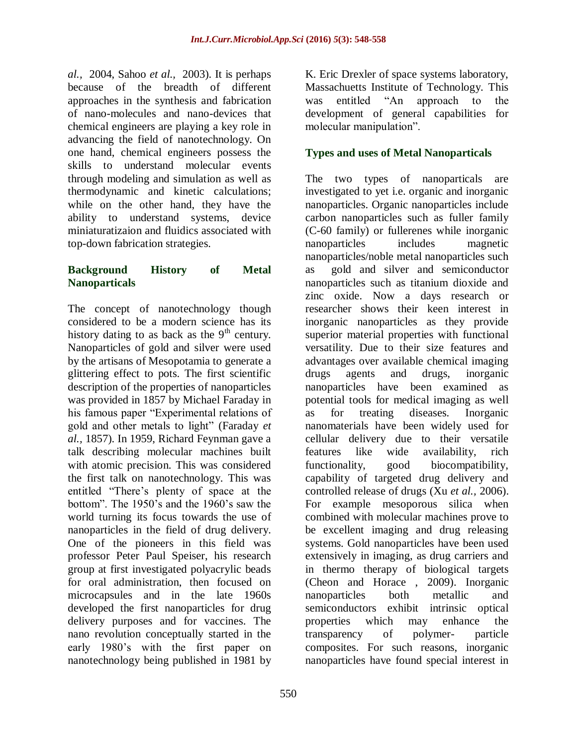*al.,* 2004, Sahoo *et al.,* 2003). It is perhaps because of the breadth of different approaches in the synthesis and fabrication of nano-molecules and nano-devices that chemical engineers are playing a key role in advancing the field of nanotechnology. On one hand, chemical engineers possess the skills to understand molecular events through modeling and simulation as well as thermodynamic and kinetic calculations; while on the other hand, they have the ability to understand systems, device miniaturatizaion and fluidics associated with top-down fabrication strategies.

## **Background History of Metal Nanoparticals**

The concept of nanotechnology though considered to be a modern science has its history dating to as back as the  $9<sup>th</sup>$  century. Nanoparticles of gold and silver were used by the artisans of Mesopotamia to generate a glittering effect to pots. The first scientific description of the properties of nanoparticles was provided in 1857 by Michael Faraday in his famous paper "Experimental relations of gold and other metals to light" (Faraday *et al.,* 1857). In 1959, Richard Feynman gave a talk describing molecular machines built with atomic precision. This was considered the first talk on nanotechnology. This was entitled "There"s plenty of space at the bottom". The 1950"s and the 1960"s saw the world turning its focus towards the use of nanoparticles in the field of drug delivery. One of the pioneers in this field was professor Peter Paul Speiser, his research group at first investigated polyacrylic beads for oral administration, then focused on microcapsules and in the late 1960s developed the first nanoparticles for drug delivery purposes and for vaccines. The nano revolution conceptually started in the early 1980's with the first paper on nanotechnology being published in 1981 by

K. Eric Drexler of space systems laboratory, Massachuetts Institute of Technology. This was entitled "An approach to the development of general capabilities for molecular manipulation".

# **Types and uses of Metal Nanoparticals**

The two types of nanoparticals are investigated to yet i.e. organic and inorganic nanoparticles. Organic nanoparticles include carbon nanoparticles such as fuller family (C-60 family) or fullerenes while inorganic nanoparticles includes magnetic nanoparticles/noble metal nanoparticles such as gold and silver and semiconductor nanoparticles such as titanium dioxide and zinc oxide. Now a days research or researcher shows their keen interest in inorganic nanoparticles as they provide superior material properties with functional versatility. Due to their size features and advantages over available chemical imaging drugs agents and drugs, inorganic nanoparticles have been examined as potential tools for medical imaging as well as for treating diseases. Inorganic nanomaterials have been widely used for cellular delivery due to their versatile features like wide availability, rich functionality, good biocompatibility, capability of targeted drug delivery and controlled release of drugs (Xu *et al.,* 2006). For example mesoporous silica when combined with molecular machines prove to be excellent imaging and drug releasing systems. Gold nanoparticles have been used extensively in imaging, as drug carriers and in thermo therapy of biological targets (Cheon and Horace , 2009). Inorganic nanoparticles both metallic and semiconductors exhibit intrinsic optical properties which may enhance the transparency of polymer- particle composites. For such reasons, inorganic nanoparticles have found special interest in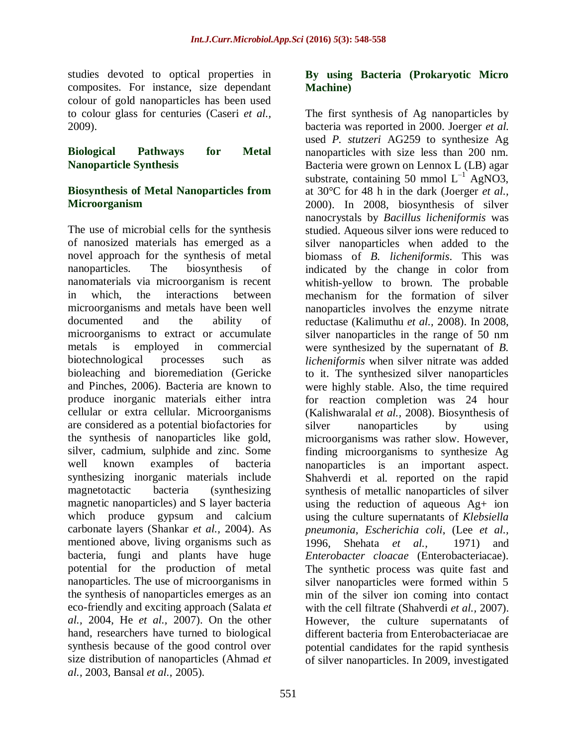studies devoted to optical properties in composites. For instance, size dependant colour of gold nanoparticles has been used to colour glass for centuries (Caseri *et al.,* 2009).

**Biological Pathways for Metal Nanoparticle Synthesis** 

#### **Biosynthesis of Metal Nanoparticles from Microorganism**

The use of microbial cells for the synthesis of nanosized materials has emerged as a novel approach for the synthesis of metal nanoparticles. The biosynthesis of nanomaterials via microorganism is recent in which, the interactions between microorganisms and metals have been well documented and the ability of microorganisms to extract or accumulate metals is employed in commercial biotechnological processes such as bioleaching and bioremediation (Gericke and Pinches, 2006). Bacteria are known to produce inorganic materials either intra cellular or extra cellular. Microorganisms are considered as a potential biofactories for the synthesis of nanoparticles like gold, silver, cadmium, sulphide and zinc. Some well known examples of bacteria synthesizing inorganic materials include magnetotactic bacteria (synthesizing magnetic nanoparticles) and S layer bacteria which produce gypsum and calcium carbonate layers (Shankar *et al.,* 2004). As mentioned above, living organisms such as bacteria, fungi and plants have huge potential for the production of metal nanoparticles. The use of microorganisms in the synthesis of nanoparticles emerges as an eco-friendly and exciting approach (Salata *et al.,* 2004, He *et al.,* 2007). On the other hand, researchers have turned to biological synthesis because of the good control over size distribution of nanoparticles (Ahmad *et al.,* 2003, Bansal *et al.,* 2005).

#### **By using Bacteria (Prokaryotic Micro Machine)**

The first synthesis of Ag nanoparticles by bacteria was reported in 2000. Joerger *et al.* used *P. stutzeri* AG259 to synthesize Ag nanoparticles with size less than 200 nm. Bacteria were grown on Lennox L (LB) agar substrate, containing 50 mmol  $L^{-1}$  AgNO3, at 30°C for 48 h in the dark (Joerger *et al.,* 2000). In 2008, biosynthesis of silver nanocrystals by *Bacillus licheniformis* was studied. Aqueous silver ions were reduced to silver nanoparticles when added to the biomass of *B. licheniformis*. This was indicated by the change in color from whitish-yellow to brown. The probable mechanism for the formation of silver nanoparticles involves the enzyme nitrate reductase (Kalimuthu *et al.,* 2008). In 2008, silver nanoparticles in the range of 50 nm were synthesized by the supernatant of *B. licheniformis* when silver nitrate was added to it. The synthesized silver nanoparticles were highly stable. Also, the time required for reaction completion was 24 hour (Kalishwaralal *et al.,* 2008). Biosynthesis of silver nanoparticles by using microorganisms was rather slow. However, finding microorganisms to synthesize Ag nanoparticles is an important aspect. Shahverdi et al. reported on the rapid synthesis of metallic nanoparticles of silver using the reduction of aqueous Ag+ ion using the culture supernatants of *Klebsiella pneumonia*, *Escherichia coli*, (Lee *et al.,* 1996, Shehata *et al.,* 1971) and *Enterobacter cloacae* (Enterobacteriacae). The synthetic process was quite fast and silver nanoparticles were formed within 5 min of the silver ion coming into contact with the cell filtrate (Shahverdi *et al.,* 2007). However, the culture supernatants of different bacteria from Enterobacteriacae are potential candidates for the rapid synthesis of silver nanoparticles. In 2009, investigated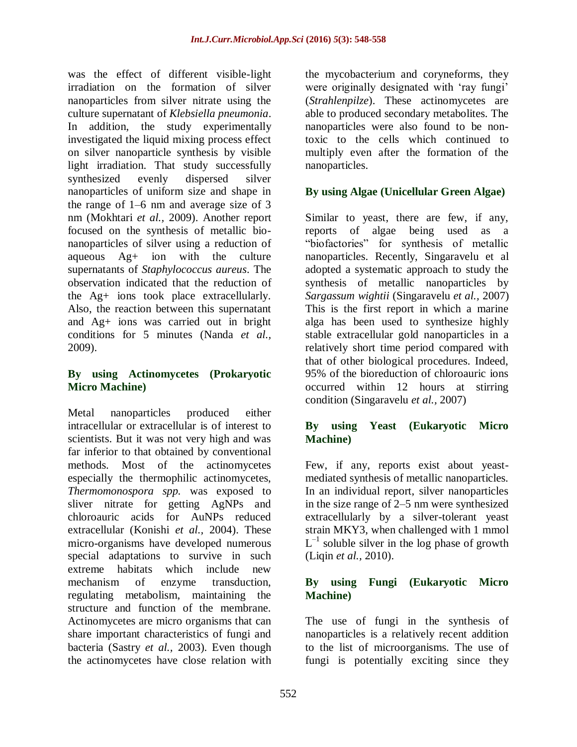was the effect of different visible-light irradiation on the formation of silver nanoparticles from silver nitrate using the culture supernatant of *Klebsiella pneumonia*. In addition, the study experimentally investigated the liquid mixing process effect on silver nanoparticle synthesis by visible light irradiation. That study successfully synthesized evenly dispersed silver nanoparticles of uniform size and shape in the range of 1–6 nm and average size of 3 nm (Mokhtari *et al.,* 2009). Another report focused on the synthesis of metallic bionanoparticles of silver using a reduction of aqueous Ag+ ion with the culture supernatants of *Staphylococcus aureus*. The observation indicated that the reduction of the Ag+ ions took place extracellularly. Also, the reaction between this supernatant and Ag+ ions was carried out in bright conditions for 5 minutes (Nanda *et al.,* 2009).

## **By using Actinomycetes (Prokaryotic Micro Machine)**

Metal nanoparticles produced either intracellular or extracellular is of interest to scientists. But it was not very high and was far inferior to that obtained by conventional methods. Most of the actinomycetes especially the thermophilic actinomycetes, *Thermomonospora spp.* was exposed to sliver nitrate for getting AgNPs and chloroauric acids for AuNPs reduced extracellular (Konishi *et al.,* 2004). These micro-organisms have developed numerous special adaptations to survive in such extreme habitats which include new mechanism of enzyme transduction, regulating metabolism, maintaining the structure and function of the membrane. Actinomycetes are micro organisms that can share important characteristics of fungi and bacteria (Sastry *et al.,* 2003). Even though the actinomycetes have close relation with

the mycobacterium and coryneforms, they were originally designated with 'ray fungi' (*Strahlenpilze*). These actinomycetes are able to produced secondary metabolites. The nanoparticles were also found to be nontoxic to the cells which continued to multiply even after the formation of the nanoparticles.

# **By using Algae (Unicellular Green Algae)**

Similar to yeast, there are few, if any, reports of algae being used as a "biofactories" for synthesis of metallic nanoparticles. Recently, Singaravelu et al adopted a systematic approach to study the synthesis of metallic nanoparticles by *Sargassum wightii* (Singaravelu *et al.,* 2007) This is the first report in which a marine alga has been used to synthesize highly stable extracellular gold nanoparticles in a relatively short time period compared with that of other biological procedures. Indeed, 95% of the bioreduction of chloroauric ions occurred within 12 hours at stirring condition (Singaravelu *et al.,* 2007)

## **By using Yeast (Eukaryotic Micro Machine)**

Few, if any, reports exist about yeastmediated synthesis of metallic nanoparticles. In an individual report, silver nanoparticles in the size range of 2–5 nm were synthesized extracellularly by a silver-tolerant yeast strain MKY3, when challenged with 1 mmol  $L^{-1}$  soluble silver in the log phase of growth (Liqin *et al.,* 2010).

## **By using Fungi (Eukaryotic Micro Machine)**

The use of fungi in the synthesis of nanoparticles is a relatively recent addition to the list of microorganisms. The use of fungi is potentially exciting since they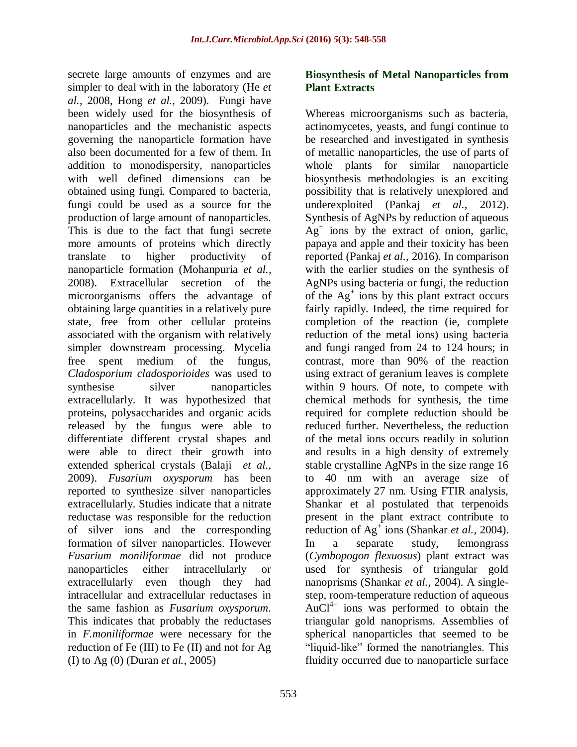secrete large amounts of enzymes and are simpler to deal with in the laboratory (He *et al.,* 2008, Hong *et al.,* 2009). Fungi have been widely used for the biosynthesis of nanoparticles and the mechanistic aspects governing the nanoparticle formation have also been documented for a few of them. In addition to monodispersity, nanoparticles with well defined dimensions can be obtained using fungi. Compared to bacteria, fungi could be used as a source for the production of large amount of nanoparticles. This is due to the fact that fungi secrete more amounts of proteins which directly translate to higher productivity of nanoparticle formation (Mohanpuria *et al.,* 2008). Extracellular secretion of the microorganisms offers the advantage of obtaining large quantities in a relatively pure state, free from other cellular proteins associated with the organism with relatively simpler downstream processing. Mycelia free spent medium of the fungus, *Cladosporium cladosporioides* was used to synthesise silver nanoparticles extracellularly. It was hypothesized that proteins, polysaccharides and organic acids released by the fungus were able to differentiate different crystal shapes and were able to direct their growth into extended spherical crystals (Balaji *et al.,* 2009). *Fusarium oxysporum* has been reported to synthesize silver nanoparticles extracellularly. Studies indicate that a nitrate reductase was responsible for the reduction of silver ions and the corresponding formation of silver nanoparticles. However *Fusarium moniliformae* did not produce nanoparticles either intracellularly or extracellularly even though they had intracellular and extracellular reductases in the same fashion as *Fusarium oxysporum*. This indicates that probably the reductases in *F.moniliformae* were necessary for the reduction of Fe (III) to Fe (II) and not for Ag (I) to Ag (0) (Duran *et al.,* 2005)

## **Biosynthesis of Metal Nanoparticles from Plant Extracts**

Whereas microorganisms such as bacteria, actinomycetes, yeasts, and fungi continue to be researched and investigated in synthesis of metallic nanoparticles, the use of parts of whole plants for similar nanoparticle biosynthesis methodologies is an exciting possibility that is relatively unexplored and underexploited (Pankaj *et al.,* 2012). Synthesis of AgNPs by reduction of aqueous  $Ag<sup>+</sup>$  ions by the extract of onion, garlic, papaya and apple and their toxicity has been reported (Pankaj *et al.,* 2016). In comparison with the earlier studies on the synthesis of AgNPs using bacteria or fungi, the reduction of the Ag<sup>+</sup> ions by this plant extract occurs fairly rapidly. Indeed, the time required for completion of the reaction (ie, complete reduction of the metal ions) using bacteria and fungi ranged from 24 to 124 hours; in contrast, more than 90% of the reaction using extract of geranium leaves is complete within 9 hours. Of note, to compete with chemical methods for synthesis, the time required for complete reduction should be reduced further. Nevertheless, the reduction of the metal ions occurs readily in solution and results in a high density of extremely stable crystalline AgNPs in the size range 16 to 40 nm with an average size of approximately 27 nm. Using FTIR analysis, Shankar et al postulated that terpenoids present in the plant extract contribute to reduction of Ag<sup>+</sup> ions (Shankar *et al.*, 2004). In a separate study, lemongrass (*Cymbopogon flexuosus*) plant extract was used for synthesis of triangular gold nanoprisms (Shankar *et al.,* 2004). A singlestep, room-temperature reduction of aqueous  $AuCl<sup>4–</sup>$  ions was performed to obtain the triangular gold nanoprisms. Assemblies of spherical nanoparticles that seemed to be "liquid-like" formed the nanotriangles. This fluidity occurred due to nanoparticle surface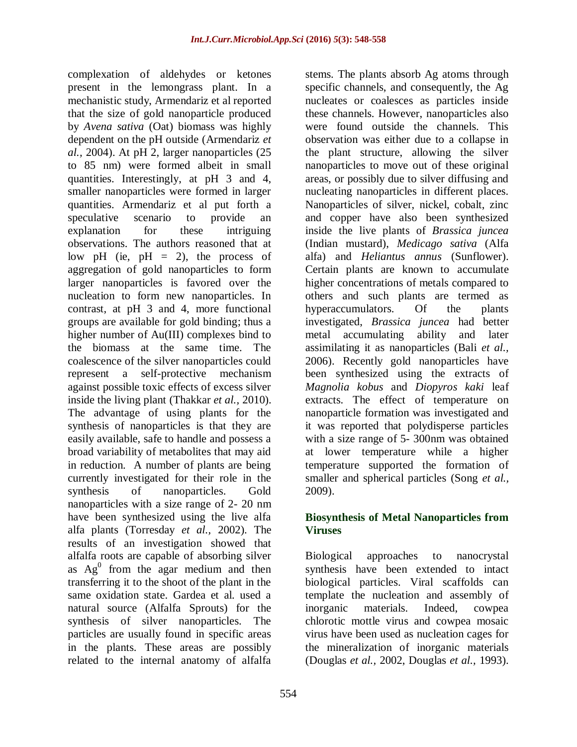complexation of aldehydes or ketones present in the lemongrass plant. In a mechanistic study, Armendariz et al reported that the size of gold nanoparticle produced by *Avena sativa* (Oat) biomass was highly dependent on the pH outside (Armendariz *et al.,* 2004). At pH 2, larger nanoparticles (25 to 85 nm) were formed albeit in small quantities. Interestingly, at pH 3 and 4, smaller nanoparticles were formed in larger quantities. Armendariz et al put forth a speculative scenario to provide an explanation for these intriguing observations. The authors reasoned that at low pH (ie,  $pH = 2$ ), the process of aggregation of gold nanoparticles to form larger nanoparticles is favored over the nucleation to form new nanoparticles. In contrast, at pH 3 and 4, more functional groups are available for gold binding; thus a higher number of Au(III) complexes bind to the biomass at the same time. The coalescence of the silver nanoparticles could represent a self-protective mechanism against possible toxic effects of excess silver inside the living plant (Thakkar *et al.,* 2010). The advantage of using plants for the synthesis of nanoparticles is that they are easily available, safe to handle and possess a broad variability of metabolites that may aid in reduction. A number of plants are being currently investigated for their role in the synthesis of nanoparticles. Gold nanoparticles with a size range of 2- 20 nm have been synthesized using the live alfa alfa plants (Torresday *et al.,* 2002). The results of an investigation showed that alfalfa roots are capable of absorbing silver as  $Ag^{0}$  from the agar medium and then transferring it to the shoot of the plant in the same oxidation state. Gardea et al. used a natural source (Alfalfa Sprouts) for the synthesis of silver nanoparticles. The particles are usually found in specific areas in the plants. These areas are possibly related to the internal anatomy of alfalfa

stems. The plants absorb Ag atoms through specific channels, and consequently, the Ag nucleates or coalesces as particles inside these channels. However, nanoparticles also were found outside the channels. This observation was either due to a collapse in the plant structure, allowing the silver nanoparticles to move out of these original areas, or possibly due to silver diffusing and nucleating nanoparticles in different places. Nanoparticles of silver, nickel, cobalt, zinc and copper have also been synthesized inside the live plants of *Brassica juncea* (Indian mustard), *Medicago sativa* (Alfa alfa) and *Heliantus annus* (Sunflower). Certain plants are known to accumulate higher concentrations of metals compared to others and such plants are termed as hyperaccumulators. Of the plants investigated, *Brassica juncea* had better metal accumulating ability and later assimilating it as nanoparticles (Bali *et al.,* 2006). Recently gold nanoparticles have been synthesized using the extracts of *Magnolia kobus* and *Diopyros kaki* leaf extracts. The effect of temperature on nanoparticle formation was investigated and it was reported that polydisperse particles with a size range of 5- 300nm was obtained at lower temperature while a higher temperature supported the formation of smaller and spherical particles (Song *et al.,* 2009).

## **Biosynthesis of Metal Nanoparticles from Viruses**

Biological approaches to nanocrystal synthesis have been extended to intact biological particles. Viral scaffolds can template the nucleation and assembly of inorganic materials. Indeed, cowpea chlorotic mottle virus and cowpea mosaic virus have been used as nucleation cages for the mineralization of inorganic materials (Douglas *et al.,* 2002, Douglas *et al.,* 1993).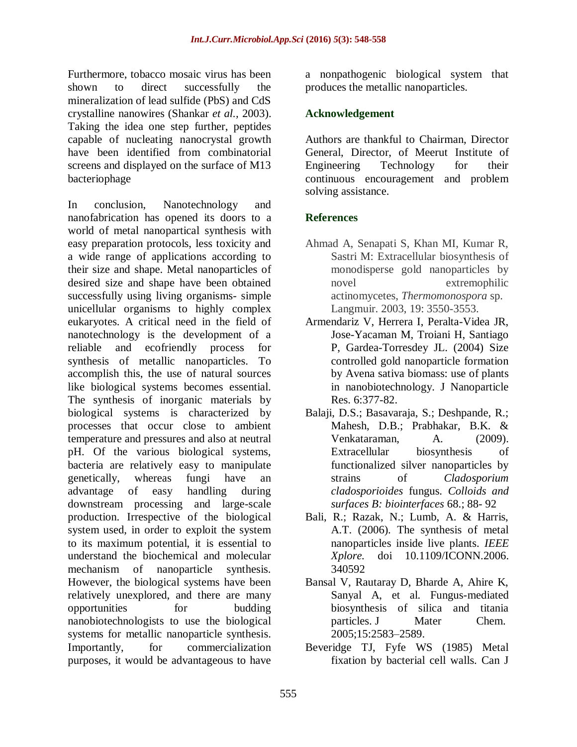Furthermore, tobacco mosaic virus has been shown to direct successfully the mineralization of lead sulfide (PbS) and CdS crystalline nanowires (Shankar *et al.,* 2003). Taking the idea one step further, peptides capable of nucleating nanocrystal growth have been identified from combinatorial screens and displayed on the surface of M13 bacteriophage

In conclusion, Nanotechnology and nanofabrication has opened its doors to a world of metal nanopartical synthesis with easy preparation protocols, less toxicity and a wide range of applications according to their size and shape. Metal nanoparticles of desired size and shape have been obtained successfully using living organisms- simple unicellular organisms to highly complex eukaryotes. A critical need in the field of nanotechnology is the development of a reliable and ecofriendly process for synthesis of metallic nanoparticles. To accomplish this, the use of natural sources like biological systems becomes essential. The synthesis of inorganic materials by biological systems is characterized by processes that occur close to ambient temperature and pressures and also at neutral pH. Of the various biological systems, bacteria are relatively easy to manipulate genetically, whereas fungi have an advantage of easy handling during downstream processing and large-scale production. Irrespective of the biological system used, in order to exploit the system to its maximum potential, it is essential to understand the biochemical and molecular mechanism of nanoparticle synthesis. However, the biological systems have been relatively unexplored, and there are many opportunities for budding nanobiotechnologists to use the biological systems for metallic nanoparticle synthesis. Importantly, for commercialization purposes, it would be advantageous to have

a nonpathogenic biological system that produces the metallic nanoparticles.

# **Acknowledgement**

Authors are thankful to Chairman, Director General, Director, of Meerut Institute of Engineering Technology for their continuous encouragement and problem solving assistance.

# **References**

- Ahmad A, Senapati S, Khan MI, Kumar R, Sastri M: Extracellular biosynthesis of monodisperse gold nanoparticles by novel extremophilic actinomycetes, *Thermomonospora* sp. Langmuir. 2003, 19: 3550-3553.
- Armendariz V, Herrera I, Peralta-Videa JR, Jose-Yacaman M, Troiani H, Santiago P, Gardea-Torresdey JL. (2004) Size controlled gold nanoparticle formation by Avena sativa biomass: use of plants in nanobiotechnology. J Nanoparticle Res. 6:377-82.
- Balaji, D.S.; Basavaraja, S.; Deshpande, R.; Mahesh, D.B.; Prabhakar, B.K. & Venkataraman, A. (2009). Extracellular biosynthesis of functionalized silver nanoparticles by strains of *Cladosporium cladosporioides* fungus. *Colloids and surfaces B: biointerfaces* 68.; 88- 92
- Bali, R.; Razak, N.; Lumb, A. & Harris, A.T. (2006). The synthesis of metal nanoparticles inside live plants. *IEEE Xplore.* doi 10.1109/ICONN.2006. 340592
- Bansal V, Rautaray D, Bharde A, Ahire K, Sanyal A, et al. Fungus-mediated biosynthesis of silica and titania particles. J Mater Chem. 2005;15:2583–2589.
- Beveridge TJ, Fyfe WS (1985) Metal fixation by bacterial cell walls. Can J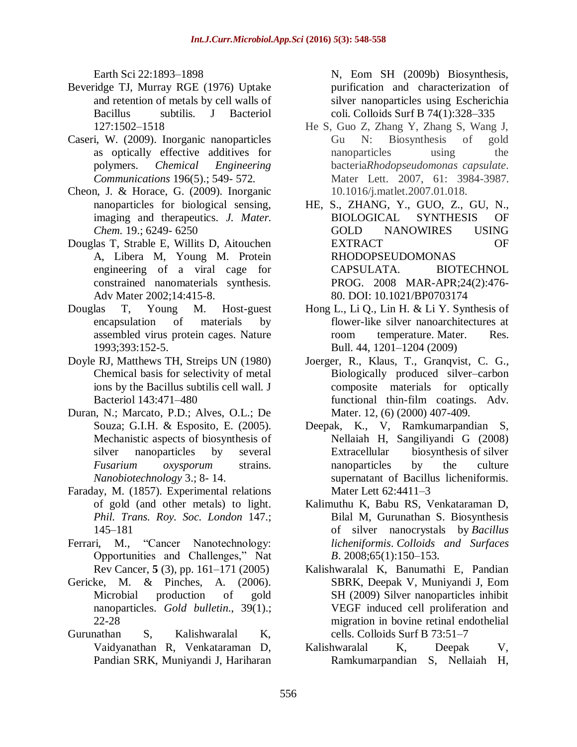Earth Sci 22:1893–1898

- Beveridge TJ, Murray RGE (1976) Uptake and retention of metals by cell walls of Bacillus subtilis. J Bacteriol 127:1502–1518
- Caseri, W. (2009). Inorganic nanoparticles as optically effective additives for polymers. *Chemical Engineering Communications* 196(5).; 549- 572.
- Cheon, J. & Horace, G. (2009). Inorganic nanoparticles for biological sensing, imaging and therapeutics. *J. Mater. Chem.* 19.; 6249- 6250
- Douglas T, Strable E, Willits D, Aitouchen A, Libera M, Young M. Protein engineering of a viral cage for constrained nanomaterials synthesis. Adv Mater 2002;14:415-8.
- Douglas T, Young M. Host-guest encapsulation of materials by assembled virus protein cages. Nature 1993;393:152-5.
- Doyle RJ, Matthews TH, Streips UN (1980) Chemical basis for selectivity of metal ions by the Bacillus subtilis cell wall. J Bacteriol 143:471–480
- Duran, N.; Marcato, P.D.; Alves, O.L.; De Souza; G.I.H. & Esposito, E. (2005). Mechanistic aspects of biosynthesis of silver nanoparticles by several *Fusarium oxysporum* strains. *Nanobiotechnology* 3.; 8- 14.
- Faraday, M. (1857). Experimental relations of gold (and other metals) to light. *Phil. Trans. Roy. Soc. London* 147.; 145–181
- Ferrari, M., "Cancer Nanotechnology: Opportunities and Challenges," Nat Rev Cancer, **5** (3), pp. 161–171 (2005)
- Gericke, M. & Pinches, A. (2006). Microbial production of gold nanoparticles. *Gold bulletin*., 39(1).; 22-28
- Gurunathan S, Kalishwaralal K, Vaidyanathan R, Venkataraman D, Pandian SRK, Muniyandi J, Hariharan

N, Eom SH (2009b) Biosynthesis, purification and characterization of silver nanoparticles using Escherichia coli. Colloids Surf B 74(1):328–335

- He S, Guo Z, Zhang Y, Zhang S, Wang J, Gu N: Biosynthesis of gold nanoparticles using the bacteria*Rhodopseudomonas capsulate*. Mater Lett. 2007, 61: 3984-3987. 10.1016/j.matlet.2007.01.018.
- HE, S., ZHANG, Y., GUO, Z., GU, N., BIOLOGICAL SYNTHESIS OF GOLD NANOWIRES USING EXTRACT OF RHODOPSEUDOMONAS CAPSULATA. BIOTECHNOL PROG. 2008 MAR-APR;24(2):476- 80. DOI: 10.1021/BP0703174
- Hong L., Li Q., Lin H. & Li Y. Synthesis of flower-like silver nanoarchitectures at room temperature. Mater. Res. Bull. 44, 1201–1204 (2009)
- Joerger, R., Klaus, T., Granqvist, C. G., Biologically produced silver–carbon composite materials for optically functional thin-film coatings. Adv. Mater. 12, (6) (2000) 407-409.
- Deepak, K., V, Ramkumarpandian S, Nellaiah H, Sangiliyandi G (2008) Extracellular biosynthesis of silver nanoparticles by the culture supernatant of Bacillus licheniformis. Mater Lett 62:4411–3
- Kalimuthu K, Babu RS, Venkataraman D, Bilal M, Gurunathan S. Biosynthesis of silver nanocrystals by *Bacillus licheniformis*. *Colloids and Surfaces B*. 2008;65(1):150–153.
- Kalishwaralal K, Banumathi E, Pandian SBRK, Deepak V, Muniyandi J, Eom SH (2009) Silver nanoparticles inhibit VEGF induced cell proliferation and migration in bovine retinal endothelial cells. Colloids Surf B 73:51–7
- Kalishwaralal K, Deepak V, Ramkumarpandian S, Nellaiah H,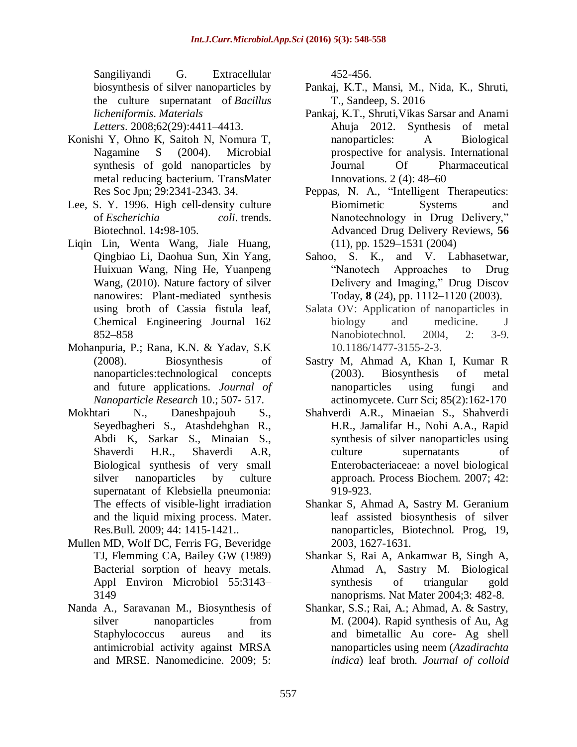Sangiliyandi G. Extracellular biosynthesis of silver nanoparticles by the culture supernatant of *Bacillus licheniformis*. *Materials*

*Letters*. 2008;62(29):4411–4413.

- Konishi Y, Ohno K, Saitoh N, Nomura T, Nagamine S (2004). Microbial synthesis of gold nanoparticles by metal reducing bacterium. TransMater Res Soc Jpn; 29:2341-2343. 34.
- Lee, S. Y. 1996. High cell-density culture of *Escherichia coli*. trends. Biotechnol. 14**:**98-105.
- Liqin Lin, Wenta Wang, Jiale Huang, Qingbiao Li, Daohua Sun, Xin Yang, Huixuan Wang, Ning He, Yuanpeng Wang, (2010). Nature factory of silver nanowires: Plant-mediated synthesis using broth of Cassia fistula leaf, Chemical Engineering Journal 162 852–858
- Mohanpuria, P.; Rana, K.N. & Yadav, S.K (2008). Biosynthesis of nanoparticles:technological concepts and future applications. *Journal of Nanoparticle Research* 10.; 507- 517*.*
- Mokhtari N., Daneshpajouh S., Seyedbagheri S., Atashdehghan R., Abdi K, Sarkar S., Minaian S., Shaverdi H.R., Shaverdi A.R, Biological synthesis of very small silver nanoparticles by culture supernatant of Klebsiella pneumonia: The effects of visible-light irradiation and the liquid mixing process. Mater. Res.Bull. 2009; 44: 1415-1421..
- Mullen MD, Wolf DC, Ferris FG, Beveridge TJ, Flemming CA, Bailey GW (1989) Bacterial sorption of heavy metals. Appl Environ Microbiol 55:3143– 3149
- Nanda A., Saravanan M., Biosynthesis of silver nanoparticles from Staphylococcus aureus and its antimicrobial activity against MRSA and MRSE. Nanomedicine. 2009; 5:

452-456.

- Pankaj, K.T., Mansi, M., Nida, K., Shruti, T., Sandeep, S. 2016
- Pankaj, K.T., Shruti,Vikas Sarsar and Anami Ahuja 2012. Synthesis of metal nanoparticles: A Biological prospective for analysis. International Journal Of Pharmaceutical Innovations. 2 (4): 48–60
- Peppas, N. A., "Intelligent Therapeutics: Biomimetic Systems and Nanotechnology in Drug Delivery," Advanced Drug Delivery Reviews, **56**  (11), pp. 1529–1531 (2004)
- Sahoo, S. K., and V. Labhasetwar, "Nanotech Approaches to Drug Delivery and Imaging," Drug Discov Today, **8** (24), pp. 1112–1120 (2003).
- Salata OV: Application of nanoparticles in biology and medicine. J Nanobiotechnol. 2004, 2: 3-9. 10.1186/1477-3155-2-3.
- Sastry M, Ahmad A, Khan I, Kumar R (2003). Biosynthesis of metal nanoparticles using fungi and actinomycete. Curr Sci; 85(2):162-170
- Shahverdi A.R., Minaeian S., Shahverdi H.R., Jamalifar H., Nohi A.A., Rapid synthesis of silver nanoparticles using culture supernatants of Enterobacteriaceae: a novel biological approach. Process Biochem. 2007; 42: 919-923.
- Shankar S, Ahmad A, Sastry M. Geranium leaf assisted biosynthesis of silver nanoparticles, Biotechnol. Prog, 19, 2003, 1627-1631.
- Shankar S, Rai A, Ankamwar B, Singh A, Ahmad A, Sastry M. Biological synthesis of triangular gold nanoprisms. Nat Mater 2004;3: 482-8.
- Shankar, S.S.; Rai, A.; Ahmad, A. & Sastry, M. (2004). Rapid synthesis of Au, Ag and bimetallic Au core- Ag shell nanoparticles using neem (*Azadirachta indica*) leaf broth. *Journal of colloid*